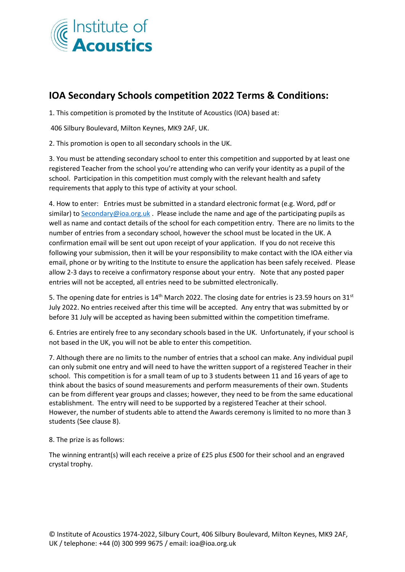

## **IOA Secondary Schools competition 2022 Terms & Conditions:**

1. This competition is promoted by the Institute of Acoustics (IOA) based at:

406 Silbury Boulevard, Milton Keynes, MK9 2AF, UK.

2. This promotion is open to all secondary schools in the UK.

3. You must be attending secondary school to enter this competition and supported by at least one registered Teacher from the school you're attending who can verify your identity as a pupil of the school. Participation in this competition must comply with the relevant health and safety requirements that apply to this type of activity at your school.

4. How to enter: Entries must be submitted in a standard electronic format (e.g. Word, pdf or similar) t[o Secondary@ioa.org.uk](mailto:Secondary@ioa.org.uk) . Please include the name and age of the participating pupils as well as name and contact details of the school for each competition entry. There are no limits to the number of entries from a secondary school, however the school must be located in the UK. A confirmation email will be sent out upon receipt of your application. If you do not receive this following your submission, then it will be your responsibility to make contact with the IOA either via email, phone or by writing to the Institute to ensure the application has been safely received. Please allow 2-3 days to receive a confirmatory response about your entry. Note that any posted paper entries will not be accepted, all entries need to be submitted electronically.

5. The opening date for entries is  $14<sup>th</sup>$  March 2022. The closing date for entries is 23.59 hours on 31<sup>st</sup> July 2022. No entries received after this time will be accepted. Any entry that was submitted by or before 31 July will be accepted as having been submitted within the competition timeframe.

6. Entries are entirely free to any secondary schools based in the UK. Unfortunately, if your school is not based in the UK, you will not be able to enter this competition.

7. Although there are no limits to the number of entries that a school can make. Any individual pupil can only submit one entry and will need to have the written support of a registered Teacher in their school. This competition is for a small team of up to 3 students between 11 and 16 years of age to think about the basics of sound measurements and perform measurements of their own. Students can be from different year groups and classes; however, they need to be from the same educational establishment. The entry will need to be supported by a registered Teacher at their school. However, the number of students able to attend the Awards ceremony is limited to no more than 3 students (See clause 8).

8. The prize is as follows:

The winning entrant(s) will each receive a prize of £25 plus £500 for their school and an engraved crystal trophy.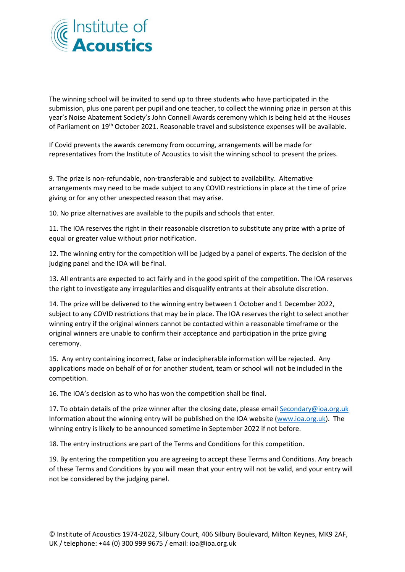

The winning school will be invited to send up to three students who have participated in the submission, plus one parent per pupil and one teacher, to collect the winning prize in person at this year's Noise Abatement Society's John Connell Awards ceremony which is being held at the Houses of Parliament on 19th October 2021. Reasonable travel and subsistence expenses will be available.

If Covid prevents the awards ceremony from occurring, arrangements will be made for representatives from the Institute of Acoustics to visit the winning school to present the prizes.

9. The prize is non-refundable, non-transferable and subject to availability. Alternative arrangements may need to be made subject to any COVID restrictions in place at the time of prize giving or for any other unexpected reason that may arise.

10. No prize alternatives are available to the pupils and schools that enter.

11. The IOA reserves the right in their reasonable discretion to substitute any prize with a prize of equal or greater value without prior notification.

12. The winning entry for the competition will be judged by a panel of experts. The decision of the judging panel and the IOA will be final.

13. All entrants are expected to act fairly and in the good spirit of the competition. The IOA reserves the right to investigate any irregularities and disqualify entrants at their absolute discretion.

14. The prize will be delivered to the winning entry between 1 October and 1 December 2022, subject to any COVID restrictions that may be in place. The IOA reserves the right to select another winning entry if the original winners cannot be contacted within a reasonable timeframe or the original winners are unable to confirm their acceptance and participation in the prize giving ceremony.

15. Any entry containing incorrect, false or indecipherable information will be rejected. Any applications made on behalf of or for another student, team or school will not be included in the competition.

16. The IOA's decision as to who has won the competition shall be final.

17. To obtain details of the prize winner after the closing date, please email Secondary@ioa.org.uk Information about the winning entry will be published on the IOA website [\(www.ioa.org.uk\)](http://www.ioa.org.uk/). The winning entry is likely to be announced sometime in September 2022 if not before.

18. The entry instructions are part of the Terms and Conditions for this competition.

19. By entering the competition you are agreeing to accept these Terms and Conditions. Any breach of these Terms and Conditions by you will mean that your entry will not be valid, and your entry will not be considered by the judging panel.